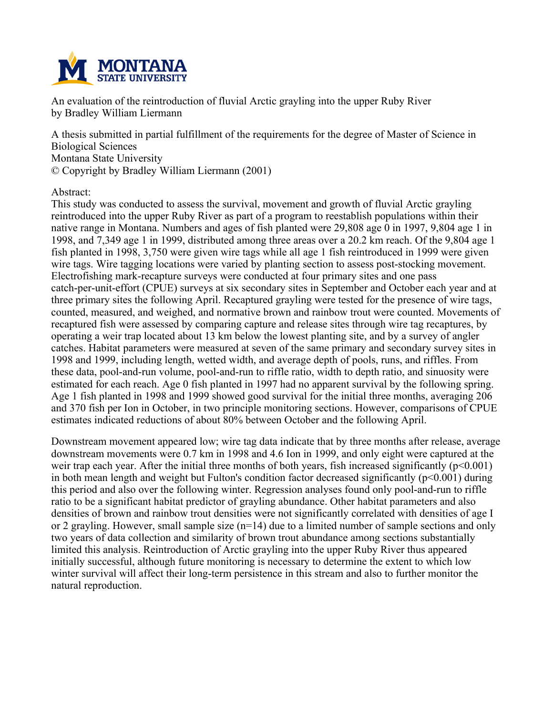

**An evaluation of the reintroduction of fluvial Arctic grayling into the upper Ruby River by Bradley William Liermann**

**A thesis submitted in partial fulfillment of the requirements for the degree of Master of Science in Biological Sciences Montana State University © Copyright by Bradley William Liermann (2001)**

**Abstract:**

**This study was conducted to assess the survival, movement and growth of fluvial Arctic grayling reintroduced into the upper Ruby River as part of a program to reestablish populations within their** native range in Montana. Numbers and ages of fish planted were 29,808 age 0 in 1997, 9,804 age 1 in 1998, and 7,349 age 1 in 1999, distributed among three areas over a 20.2 km reach. Of the 9,804 age 1 fish planted in 1998, 3,750 were given wire tags while all age 1 fish reintroduced in 1999 were given **wire tags. Wire tagging locations were varied by planting section to assess post-stocking movement. Electrofishing mark-recapture surveys were conducted at four primary sites and one pass catch-per-unit-effort (CPUE) surveys at six secondary sites in September and October each year and at three primary sites the following April. Recaptured grayling were tested for the presence of wire tags, counted, measured, and weighed, and normative brown and rainbow trout were counted. Movements of recaptured fish were assessed by comparing capture and release sites through wire tag recaptures, by** operating a weir trap located about 13 km below the lowest planting site, and by a survey of angler **catches. Habitat parameters were measured at seven of the same primary and secondary survey sites in 1998 and 1999, including length, wetted width, and average depth of pools, runs, and riffles. From these data, pool-and-run volume, pool-and-run to riffle ratio, width to depth ratio, and sinuosity were** estimated for each reach. Age 0 fish planted in 1997 had no apparent survival by the following spring. Age 1 fish planted in 1998 and 1999 showed good survival for the initial three months, averaging 206 **and 370 fish per Ion in October, in two principle monitoring sections. However, comparisons of CPUE estimates indicated reductions of about 80% between October and the following April.**

**Downstream movement appeared low; wire tag data indicate that by three months after release, average** downstream movements were 0.7 km in 1998 and 4.6 Ion in 1999, and only eight were captured at the **weir trap each year. After the initial three months of both years, fish increased significantly (p<0.001) in both mean length and weight but Fulton's condition factor decreased significantly (p<0.001) during this period and also over the following winter. Regression analyses found only pool-and-run to riffle ratio to be a significant habitat predictor of grayling abundance. Other habitat parameters and also densities of brown and rainbow trout densities were not significantly correlated with densities of age I** or 2 grayling. However, small sample size  $(n=14)$  due to a limited number of sample sections and only **two years of data collection and similarity of brown trout abundance among sections substantially limited this analysis. Reintroduction of Arctic grayling into the upper Ruby River thus appeared initially successful, although future monitoring is necessary to determine the extent to which low winter survival will affect their long-term persistence in this stream and also to further monitor the natural reproduction.**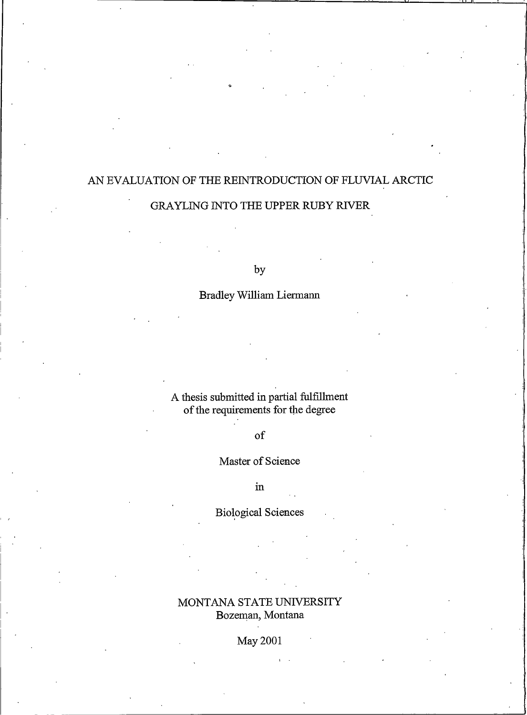## AN EVALUATION OF THE REINTRODUCTION OF FLUVIAL ARCTIC

## GRAYLING INTO THE UPPER RUBY RIVER

 $by$ 

## **Bradley William Liermann**

# A thesis submitted in partial fulfillment of the requirements for the degree

# $\sigma$

## Master of Science

 $in$ 

## **Biological Sciences**

## MONTANA STATE UNIVERSITY Bozeman, Montana

## May 2001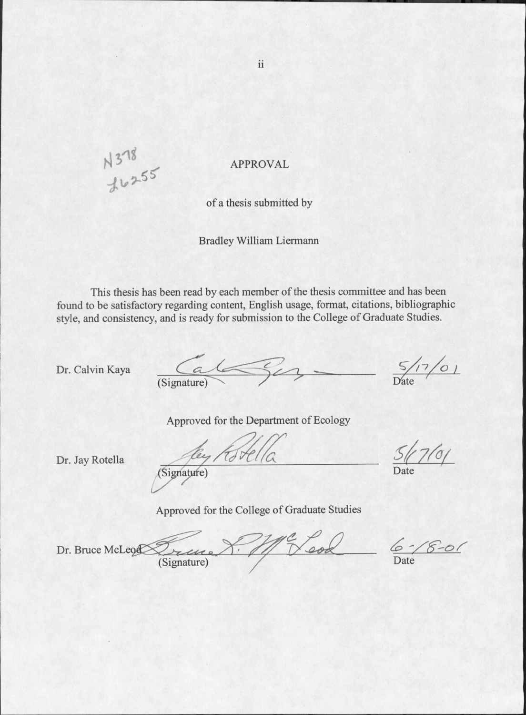N 378<br>Juz55

**APPROVAL** 

of a thesis submitted by

**Bradley William Liermann** 

This thesis has been read by each member of the thesis committee and has been found to be satisfactory regarding content, English usage, format, citations, bibliographic style, and consistency, and is ready for submission to the College of Graduate Studies.

Dr. Calvin Kaya

 $\frac{C}{\text{(Sigma)}}$ 

 $-\frac{5/17/0}{\text{Date}}$ 

Approved for the Department of Ecology

Dr. Jay Rotella

Eignaries Kotella

 $51761$ 

Approved for the College of Graduate Studies

Veod Dr. Bruce McLeog (Signature)

 $8 - 01$ 

ii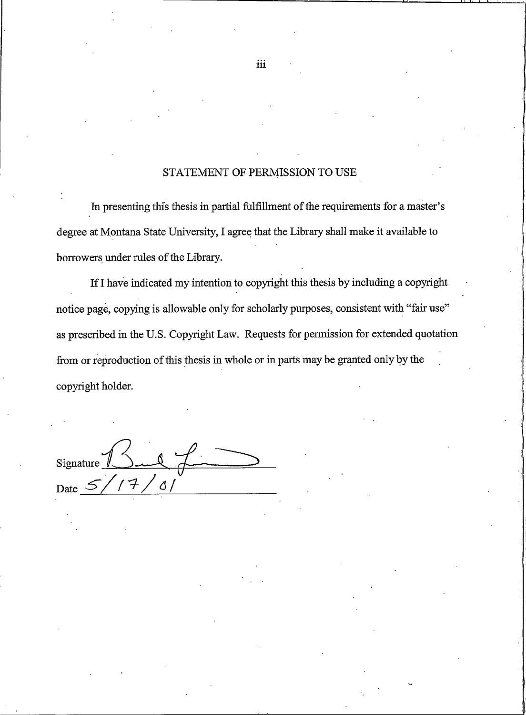#### STATEMENT OF PERMISSION TO USE

In presenting this thesis in partial fulfillment of the requirements for a master's degree at Montana State University, I agree that the Library shall make it available to borrowers under rules of the Library.

If I have indicated my intention to copyright this thesis by including a copyright notice page, copying is allowable only for scholarly purposes, consistent with "fair use" as prescribed in the U.S. Copyright Law. Requests for permission for extended quotation from or reproduction of this thesis in whole or in parts may be granted only by the copyright holder.

Signatur Ő. Date

iii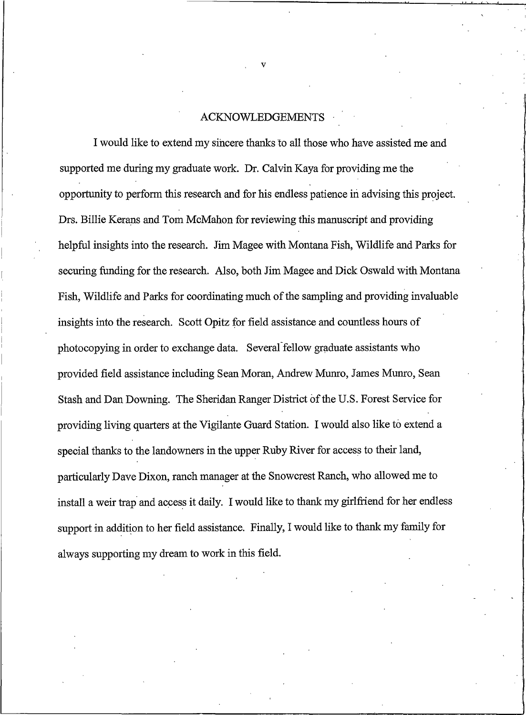#### ACKNOWLEDGEMENTS

I would like to extend my sincere thanks to all those who have assisted me and supported me during my graduate work. Dr. Calvin Kaya for providing me the opportunity to perform this research and for his endless patience in advising this project. Drs. Billie Kerans and Tom McMahon for reviewing this manuscript and providing helpful insights into the research. Jim Magee with Montana Fish, Wildlife and Parks for securing funding for the research. Also, both Jim Magee and Dick Oswald with Montana Fish, Wildlife and Parks for coordinating much of the sampling and providing invaluable insights into the research. Scott Opitz for field assistance and countless hours of photocopying in order to exchange data. Several fellow graduate assistants who provided field assistance including Sean Moran, Andrew Munro, James Munro, Sean Stash and Dan Downing. The Sheridan Ranger District of the U.S. Forest Service for providing living quarters at the Vigilante Guard Station. I would also like to extend a special thanks to the landowners in the upper Ruby River for access to their land, particularly Dave Dixon, ranch manager at the Snowcrest Ranch, who allowed me to install a weir trap and access it daily. I would like to thank my girlfriend for her endless support in addition to her field assistance. Finally, I would like to thank my family for always supporting my dream to work in this field.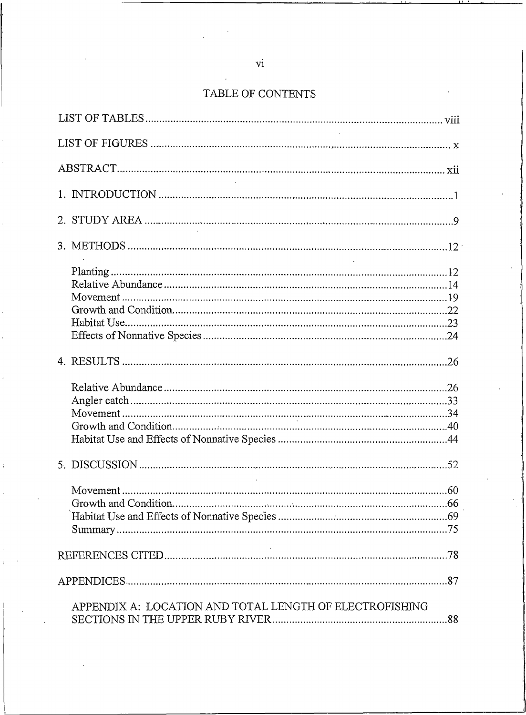#### TABLE OF CONTENT

| APPENDIX A: LOCATION AND TOTAL LENGTH OF ELECTROFISHING |  |
|---------------------------------------------------------|--|
|                                                         |  |
|                                                         |  |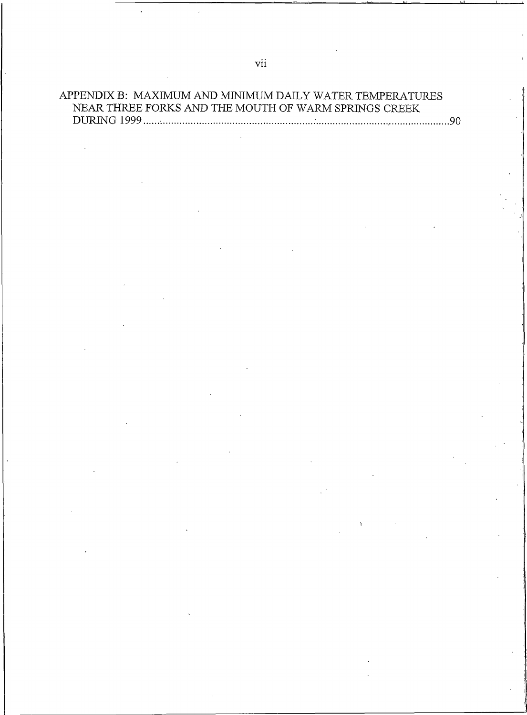## APPENDIX B: MAXIMUM AND MINIMUM DAILY WATER TEMPERATURES NEAR THREE FORKS AND THE MOUTH OF WARM SPRINGS CREEK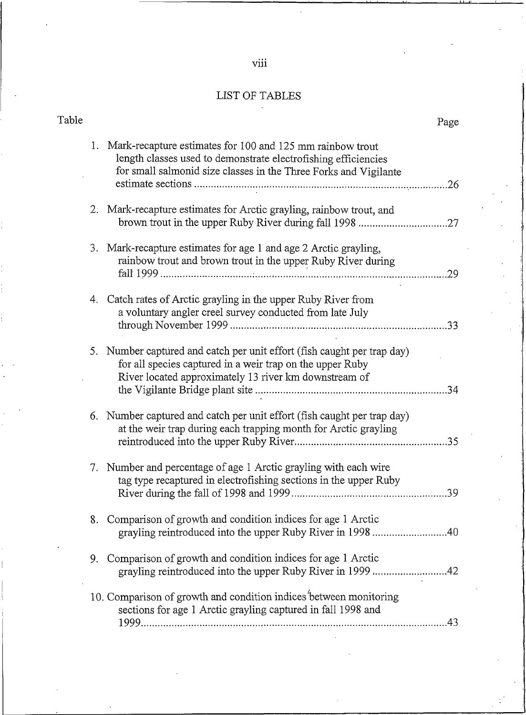| . . |   | ۰. |  |
|-----|---|----|--|
|     |   |    |  |
| ٠   | v | ۰  |  |

#### LIST OF TABLES  $\overline{a}$

| Table |    | Page                                                                                                                                                                                            |
|-------|----|-------------------------------------------------------------------------------------------------------------------------------------------------------------------------------------------------|
|       | 1. | Mark-recapture estimates for 100 and 125 mm rainbow trout<br>length classes used to demonstrate electrofishing efficiencies<br>for small salmonid size classes in the Three Forks and Vigilante |
|       |    | 2. Mark-recapture estimates for Arctic grayling, rainbow trout, and                                                                                                                             |
|       |    | 3. Mark-recapture estimates for age 1 and age 2 Arctic grayling,<br>rainbow trout and brown trout in the upper Ruby River during<br>.29                                                         |
|       | 4. | Catch rates of Arctic grayling in the upper Ruby River from<br>a voluntary angler creel survey conducted from late July                                                                         |
|       |    | 5. Number captured and catch per unit effort (fish caught per trap day)<br>for all species captured in a weir trap on the upper Ruby<br>River located approximately 13 river km downstream of   |
|       |    | 6. Number captured and catch per unit effort (fish caught per trap day)<br>at the weir trap during each trapping month for Arctic grayling                                                      |
|       |    | 7. Number and percentage of age 1 Arctic grayling with each wire<br>tag type recaptured in electrofishing sections in the upper Ruby<br>.39                                                     |
|       |    | 8. Comparison of growth and condition indices for age 1 Arctic<br>grayling reintroduced into the upper Ruby River in 1998 40                                                                    |
|       | 9. | Comparison of growth and condition indices for age 1 Arctic<br>grayling reintroduced into the upper Ruby River in 1999 42                                                                       |
|       |    | 10. Comparison of growth and condition indices between monitoring<br>sections for age 1 Arctic grayling captured in fall 1998 and<br>.43                                                        |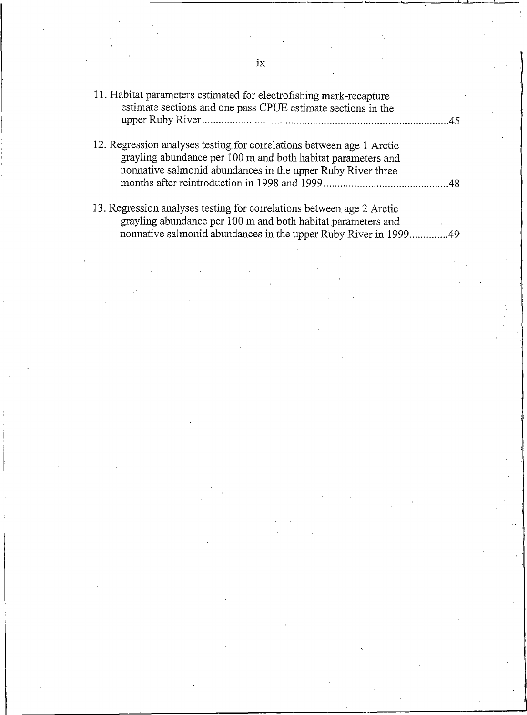| 11. Habitat parameters estimated for electrofishing mark-recapture<br>estimate sections and one pass CPUE estimate sections in the                                                                   |  |
|------------------------------------------------------------------------------------------------------------------------------------------------------------------------------------------------------|--|
| 12. Regression analyses testing for correlations between age 1 Arctic<br>grayling abundance per 100 m and both habitat parameters and<br>nonnative salmonid abundances in the upper Ruby River three |  |
|                                                                                                                                                                                                      |  |
| 13. Regression analyses testing for correlations between age 2 Arctic<br>grayling abundance per 100 m and both habitat parameters and                                                                |  |
| nonnative salmonid abundances in the upper Ruby River in 199949                                                                                                                                      |  |

 $i\mathrm{x}$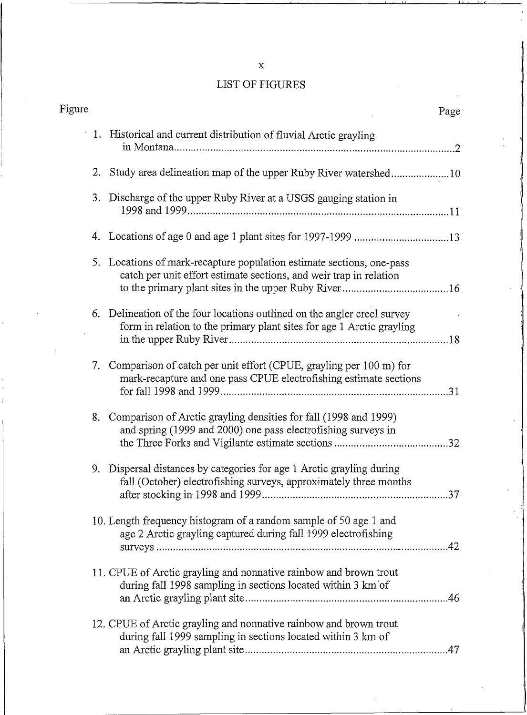# LIST OF FIGURES

| Figure |                                                                                                                                                   | Page |
|--------|---------------------------------------------------------------------------------------------------------------------------------------------------|------|
|        | 1. Historical and current distribution of fluvial Arctic grayling                                                                                 |      |
|        | 2. Study area delineation map of the upper Ruby River watershed10                                                                                 |      |
|        | 3. Discharge of the upper Ruby River at a USGS gauging station in                                                                                 |      |
|        |                                                                                                                                                   |      |
|        | 5. Locations of mark-recapture population estimate sections, one-pass<br>catch per unit effort estimate sections, and weir trap in relation       |      |
|        | 6. Delineation of the four locations outlined on the angler creel survey<br>form in relation to the primary plant sites for age 1 Arctic grayling |      |
|        | 7. Comparison of catch per unit effort (CPUE, grayling per 100 m) for<br>mark-recapture and one pass CPUE electrofishing estimate sections        |      |
|        | 8. Comparison of Arctic grayling densities for fall (1998 and 1999)<br>and spring (1999 and 2000) one pass electrofishing surveys in              |      |
|        | 9. Dispersal distances by categories for age 1 Arctic grayling during<br>fall (October) electrofishing surveys, approximately three months        |      |
|        | 10. Length frequency histogram of a random sample of 50 age 1 and<br>age 2 Arctic grayling captured during fall 1999 electrofishing               |      |
|        | 11. CPUE of Arctic grayling and nonnative rainbow and brown trout<br>during fall 1998 sampling in sections located within 3 km of                 |      |
|        | 12. CPUE of Arctic grayling and nonnative rainbow and brown trout<br>during fall 1999 sampling in sections located within 3 km of                 |      |

 $\mathbf x$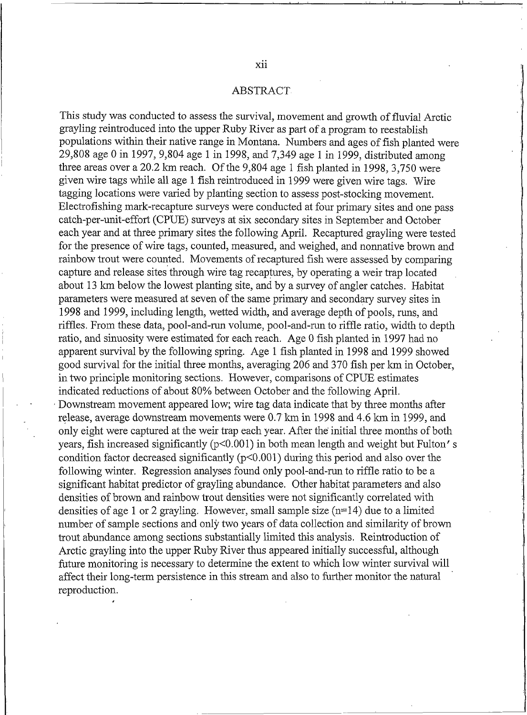#### **ABSTRACT**

This study was conducted to assess the survival, movement and growth of fluvial Arctic gravling reintroduced into the upper Ruby River as part of a program to reestablish populations within their native range in Montana. Numbers and ages of fish planted were 29,808 age 0 in 1997, 9,804 age 1 in 1998, and 7,349 age 1 in 1999, distributed among three areas over a 20.2 km reach. Of the 9,804 age 1 fish planted in 1998, 3,750 were given wire tags while all age 1 fish reintroduced in 1999 were given wire tags. Wire tagging locations were varied by planting section to assess post-stocking movement. Electrofishing mark-recapture surveys were conducted at four primary sites and one pass catch-per-unit-effort (CPUE) surveys at six secondary sites in September and October each year and at three primary sites the following April. Recaptured gravling were tested for the presence of wire tags, counted, measured, and weighed, and nonnative brown and rainbow trout were counted. Movements of recaptured fish were assessed by comparing capture and release sites through wire tag recaptures, by operating a weir trap located about 13 km below the lowest planting site, and by a survey of angler catches. Habitat parameters were measured at seven of the same primary and secondary survey sites in 1998 and 1999, including length, wetted width, and average depth of pools, runs, and riffles. From these data, pool-and-run volume, pool-and-run to riffle ratio, width to depth ratio, and sinuosity were estimated for each reach. Age 0 fish planted in 1997 had no apparent survival by the following spring. Age 1 fish planted in 1998 and 1999 showed good survival for the initial three months, averaging 206 and 370 fish per km in October. in two principle monitoring sections. However, comparisons of CPUE estimates indicated reductions of about 80% between October and the following April. Downstream movement appeared low; wire tag data indicate that by three months after release, average downstream movements were 0.7 km in 1998 and 4.6 km in 1999, and only eight were captured at the weir trap each year. After the initial three months of both years, fish increased significantly (p<0.001) in both mean length and weight but Fulton's condition factor decreased significantly ( $p<0.001$ ) during this period and also over the following winter. Regression analyses found only pool-and-run to riffle ratio to be a significant habitat predictor of gravling abundance. Other habitat parameters and also densities of brown and rainbow trout densities were not significantly correlated with densities of age 1 or 2 grayling. However, small sample size  $(n=14)$  due to a limited number of sample sections and only two years of data collection and similarity of brown trout abundance among sections substantially limited this analysis. Reintroduction of Arctic grayling into the upper Ruby River thus appeared initially successful, although future monitoring is necessary to determine the extent to which low winter survival will affect their long-term persistence in this stream and also to further monitor the natural reproduction.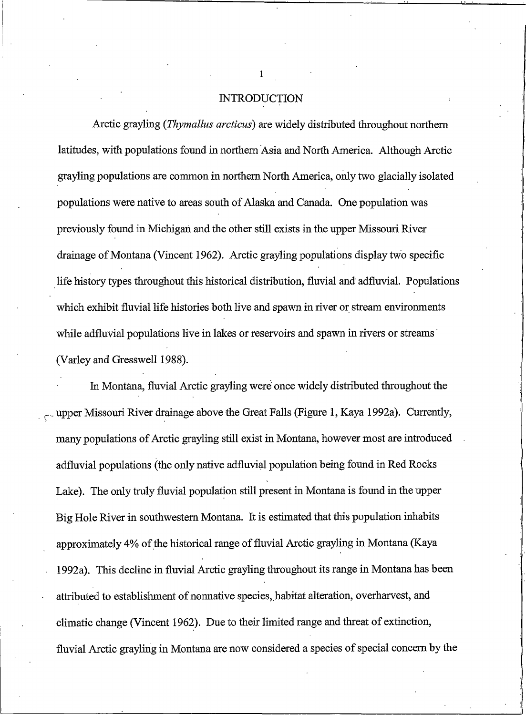### **INTRODUCTION**

Arctic grayling (Thymallus arcticus) are widely distributed throughout northern latitudes, with populations found in northern Asia and North America. Although Arctic grayling populations are common in northern North America, only two glacially isolated populations were native to areas south of Alaska and Canada. One population was previously found in Michigan and the other still exists in the upper Missouri River drainage of Montana (Vincent 1962). Arctic grayling populations display two specific life history types throughout this historical distribution, fluvial and adfluvial. Populations which exhibit fluvial life histories both live and spawn in river or stream environments while adfluvial populations live in lakes or reservoirs and spawn in rivers or streams (Varley and Gresswell 1988).

In Montana, fluvial Arctic grayling were once widely distributed throughout the upper Missouri River drainage above the Great Falls (Figure 1, Kaya 1992a). Currently, many populations of Arctic grayling still exist in Montana, however most are introduced adfluvial populations (the only native adfluvial population being found in Red Rocks Lake). The only truly fluvial population still present in Montana is found in the upper Big Hole River in southwestern Montana. It is estimated that this population inhabits approximately 4% of the historical range of fluvial Arctic grayling in Montana (Kaya 1992a). This decline in fluvial Arctic grayling throughout its range in Montana has been attributed to establishment of nonnative species, habitat alteration, overharvest, and climatic change (Vincent 1962). Due to their limited range and threat of extinction, fluvial Arctic grayling in Montana are now considered a species of special concern by the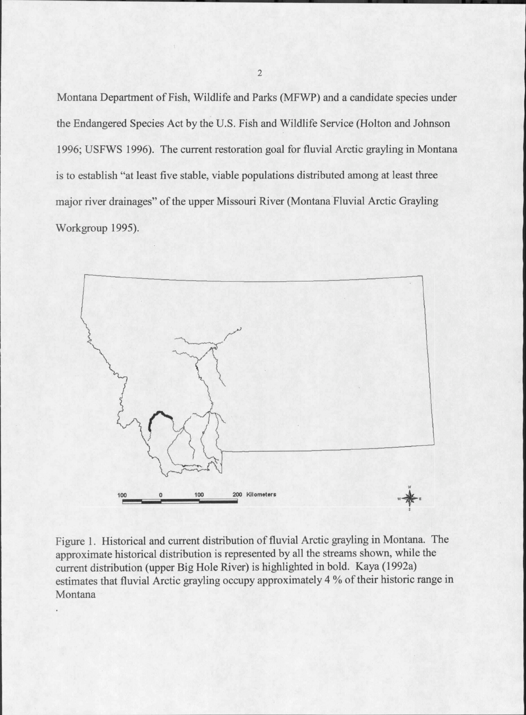Montana Department of Fish, Wildlife and Parks (MFWP) and a candidate species under the Endangered Species Act by the U.S. Fish and Wildlife Service (Holton and Johnson 1996; USFWS 1996). The current restoration goal for fluvial Arctic grayling in Montana is to establish "at least five stable, viable populations distributed among at least three major river drainages" of the upper Missouri River (Montana Fluvial Arctic Grayling Workgroup 1995).



Figure 1. Historical and current distribution of fluvial Arctic grayling in Montana. The approximate historical distribution is represented by all the streams shown, while the current distribution (upper Big Hole River) is highlighted in bold. Kaya (1992a) estimates that fluvial Arctic grayling occupy approximately 4 % of their historic range in Montana

 $\overline{2}$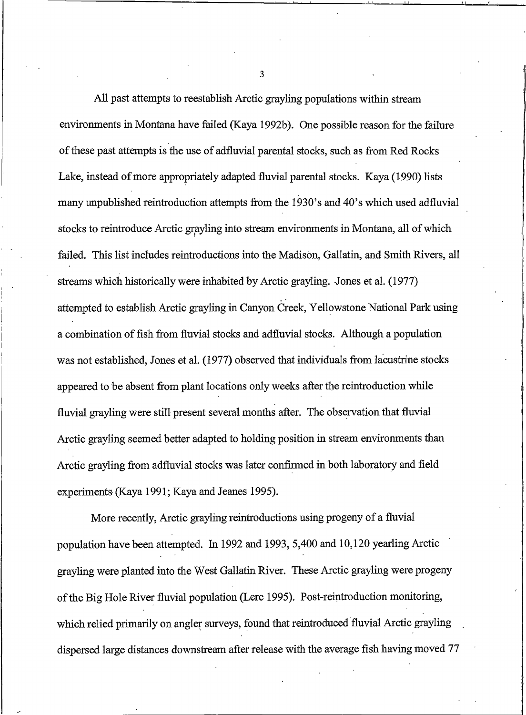All past attempts to reestablish Arctic grayling populations within stream environments in Montana have failed (Kaya 1992b). One possible reason for the failure of these past attempts is the use of adfluvial parental stocks, such as from Red Rocks Lake, instead of more appropriately adapted fluvial parental stocks. Kaya (1990) lists many unpublished reintroduction attempts from the 1930's and 40's which used adfluvial stocks to reintroduce Arctic grayling into stream environments in Montana, all of which failed. This list includes reintroductions into the Madison, Gallatin, and Smith Rivers, all streams which historically were inhabited by Arctic grayling. Jones et al. (1977) attempted to establish Arctic grayling in Canyon Creek, Yellowstone National Park using a combination of fish from fluvial stocks and adfluvial stocks. Although a population was not established, Jones et al. (1977) observed that individuals from lacustrine stocks appeared to be absent from plant locations only weeks after the reintroduction while fluvial grayling were still present several months after. The observation that fluvial Arctic grayling seemed better adapted to holding position in stream environments than Arctic grayling from adfluvial stocks was later confirmed in both laboratory and field experiments (Kaya 1991; Kaya and Jeanes 1995).

More recently, Arctic grayling reintroductions using progeny of a fluvial population have been attempted. In 1992 and 1993, 5,400 and 10,120 yearling Arctic grayling were planted into the West Gallatin River. These Arctic grayling were progeny of the Big Hole River fluvial population (Lere 1995). Post-reintroduction monitoring, which relied primarily on angler surveys, found that reintroduced fluvial Arctic grayling dispersed large distances downstream after release with the average fish having moved 77

3